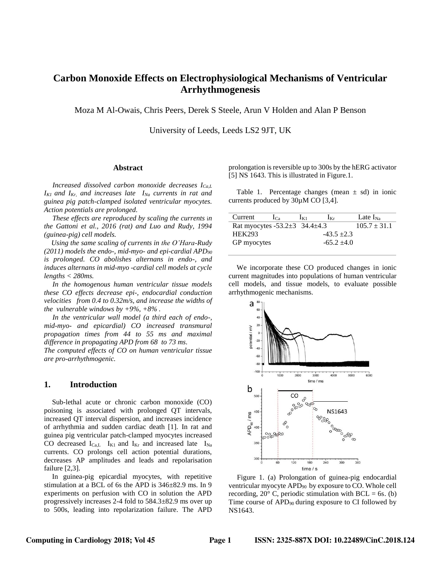# **Carbon Monoxide Effects on Electrophysiological Mechanisms of Ventricular Arrhythmogenesis**

Moza M Al-Owais, Chris Peers, Derek S Steele, Arun V Holden and Alan P Benson

University of Leeds, Leeds LS2 9JT, UK

### **Abstract**

*Increased dissolved carbon monoxide decreases ICa,L IK1 and IKr, and increases late INa currents in rat and guinea pig patch-clamped isolated ventricular myocytes. Action potentials are prolonged.*

*These effects are reproduced by scaling the currents* i*n the Gattoni et al., 2016 (rat) and Luo and Rudy, 1994 (guinea-pig) cell models.* 

 *Using the same scaling of currents in the O'Hara-Rudy (2011) models the endo-, mid-myo- and epi-cardial APD<sup>90</sup> is prolonged. CO abolishes alternans in endo-, and induces alternans in mid-myo -cardial cell models at cycle lengths < 280ms.*

*In the homogenous human ventricular tissue models these CO effects decrease epi-, endocardial conduction velocities from 0.4 to 0.32m/s, and increase the widths of the vulnerable windows by +9%, +8% .*

*In the ventricular wall model (a third each of endo-, mid-myo- and epicardial) CO increased transmural propagation times from 44 to 55 ms and maximal difference in propagating APD from 68 to 73 ms.*

*The computed effects of CO on human ventricular tissue are pro-arrhythmogenic.* 

## **1. Introduction**

Sub-lethal acute or chronic carbon monoxide (CO) poisoning is associated with prolonged QT intervals, increased QT interval dispersion, and increases incidence of arrhythmia and sudden cardiac death [1]. In rat and guinea pig ventricular patch-clamped myocytes increased CO decreased  $I_{Ca,L}$  I<sub>K1</sub> and I<sub>Kr</sub> and increased late I<sub>Na</sub> currents. CO prolongs cell action potential durations, decreases AP amplitudes and leads and repolarisation failure [2,3].

In guinea-pig epicardial myocytes, with repetitive stimulation at a BCL of 6s the APD is 346±82.9 ms. In 9 experiments on perfusion with CO in solution the APD progressively increases 2-4 fold to 584.3±82.9 ms over up to 500s, leading into repolarization failure. The APD prolongation is reversible up to 300s by the hERG activator [5] NS 1643. This is illustrated in Figure.1.

Table 1. Percentage changes (mean  $\pm$  sd) in ionic currents produced by 30µM CO [3,4].

| Current                                   | $1\text{Ca}$ | $\mathbf{I}$ K <sub>1</sub> | $\mathbf{K}$ r | Late $I_{\text{Na}}$ |  |
|-------------------------------------------|--------------|-----------------------------|----------------|----------------------|--|
| Rat myocytes -53.2 $\pm$ 3 34.4 $\pm$ 4.3 |              |                             |                | $105.7 \pm 31.1$     |  |
| <b>HEK293</b>                             |              |                             | $-43.5 + 2.3$  |                      |  |
| GP myocytes                               |              |                             | $-65.2 + 4.0$  |                      |  |
|                                           |              |                             |                |                      |  |

We incorporate these CO produced changes in ionic current magnitudes into populations of human ventricular cell models, and tissue models, to evaluate possible arrhythmogenic mechanisms.



Figure 1. (a) Prolongation of guinea-pig endocardial ventricular myocyte APD<sub>90</sub> by exposure to CO. Whole cell recording,  $20^{\circ}$  C, periodic stimulation with BCL = 6s. (b) Time course of APD<sub>90</sub> during exposure to CI followed by NS1643.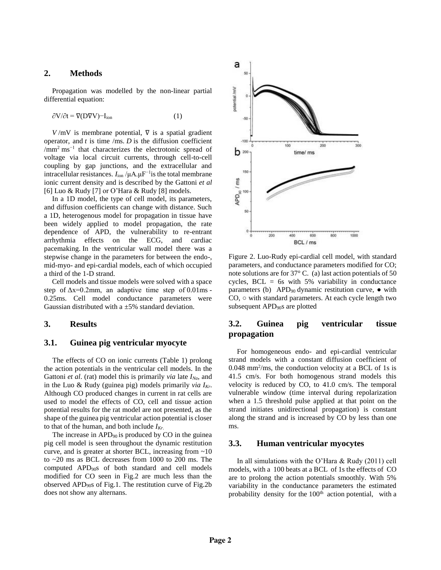## **2. Methods**

Propagation was modelled by the non-linear partial differential equation:

$$
\partial V/\partial t = \nabla (DVV) - I_{\text{ion}} \tag{1}
$$

 $V/mV$  is membrane potential,  $\nabla$  is a spatial gradient operator, and  $t$  is time /ms.  $D$  is the diffusion coefficient /mm<sup>2</sup> ms<sup>-1</sup> that characterizes the electrotonic spread of voltage via local circuit currents, through cell-to-cell coupling by gap junctions, and the extracellular and intracellular resistances. *I*ion /μA.μF−1is the total membrane ionic current density and is described by the Gattoni *et al* [6] Luo & Rudy [7] or O'Hara & Rudy [8] models.

In a 1D model, the type of cell model, its parameters, and diffusion coefficients can change with distance. Such a 1D, heterogenous model for propagation in tissue have been widely applied to model propagation, the rate dependence of APD, the vulnerability to re-entrant arrhythmia effects on the ECG, and cardiac pacemaking. In the ventricular wall model there was a stepwise change in the parameters for between the endo-, mid-myo- and epi-cardial models, each of which occupied a third of the 1-D strand.

Cell models and tissue models were solved with a space step of  $\Delta x = 0.2$ mm, an adaptive time step of 0.01ms -0.25ms. Cell model conductance parameters were Gaussian distributed with a  $\pm$ 5% standard deviation.

### **3. Results**

### **3.1. Guinea pig ventricular myocyte**

The effects of CO on ionic currents (Table 1) prolong the action potentials in the ventricular cell models. In the Gattoni *et al*. (rat) model this is primarily *via* late *INa*, and in the Luo & Rudy (guinea pig) models primarily *via IKr*. Although CO produced changes in current in rat cells are used to model the effects of CO, cell and tissue action potential results for the rat model are not presented, as the shape of the guinea pig ventricular action potential is closer to that of the human, and both include *IKr*.

The increase in APD<sub>90</sub> is produced by CO in the guinearpig cell model is seen throughout the dynamic restitution curve, and is greater at shorter BCL, increasing from ~10 to ~20 ms as BCL decreases from 1000 to 200 ms. The computed APD90s of both standard and cell models modified for CO seen in Fig.2 are much less than the observed APD90s of Fig.1. The restitution curve of Fig.2b does not show any alternans.



Figure 2. Luo-Rudy epi-cardial cell model, with standard parameters, and conductance parameters modified for CO; note solutions are for 37° C. (a) last action potentials of 50 cycles,  $BCL = 6s$  with 5% variability in conductance parameters (b) APD<sub>90</sub> dynamic restitution curve,  $\bullet$  with CO, ○ with standard parameters. At each cycle length two subsequent APD<sub>90</sub>s are plotted

## **3.2. Guinea pig ventricular tissue propagation**

For homogeneous endo- and epi-cardial ventricular strand models with a constant diffusion coefficient of  $0.048$  mm<sup>2</sup>/ms, the conduction velocity at a BCL of 1s is 41.5 cm/s. For both homogenous strand models this velocity is reduced by CO, to 41.0 cm/s. The temporal vulnerable window (time interval during repolarization when a 1.5 threshold pulse applied at that point on the strand initiates unidirectional propagation) is constant along the strand and is increased by CO by less than one ms.

### **3.3. Human ventricular myocytes**

In all simulations with the O'Hara & Rudy (2011) cell models, with a 100 beats at a BCL of 1s the effects of CO are to prolong the action potentials smoothly. With 5% variability in the conductance parameters the estimated probability density for the 100<sup>th</sup> action potential, with a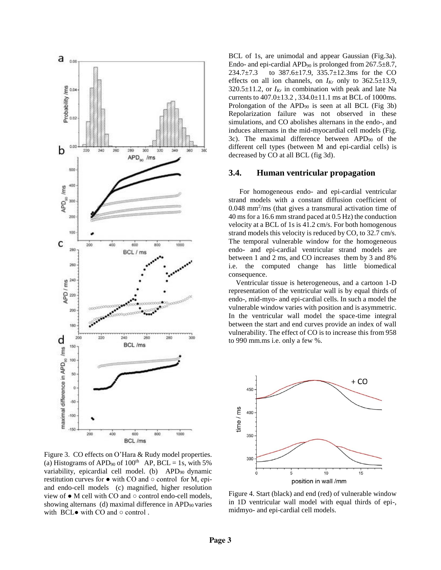

Figure 3. CO effects on O'Hara & Rudy model properties. (a) Histograms of APD<sub>90</sub> of  $100<sup>th</sup>$  AP, BCL = 1s, with 5% variability, epicardial cell model. (b) APD<sub>90</sub> dynamic restitution curves for  $\bullet$  with CO and  $\circ$  control for M, epiand endo-cell models (c) magnified, higher resolution view of ● M cell with CO and ○ control endo-cell models, showing alternans (d) maximal difference in  $APD_{90}$  varies with  $BCL$  with  $CO$  and  $\circ$  control.

BCL of 1s, are unimodal and appear Gaussian (Fig.3a). Endo- and epi-cardial APD<sub>90</sub> is prolonged from  $267.5 \pm 8.7$ , 234.7±7.3 to 387.6±17.9, 335.7±12.3ms for the CO effects on all ion channels, on  $I_{Kr}$  only to  $362.5 \pm 13.9$ ,  $320.5 \pm 11.2$ , or  $I_{Kr}$  in combination with peak and late Na currents to 407.0±13.2 , 334.0±11.1 ms at BCL of 1000ms. Prolongation of the  $APD_{90}$  is seen at all BCL (Fig 3b) Repolarization failure was not observed in these simulations, and CO abolishes alternans in the endo-, and induces alternans in the mid-myocardial cell models (Fig. 3c). The maximal difference between APD<sup>90</sup> of the different cell types (between M and epi-cardial cells) is decreased by CO at all BCL (fig 3d).

### **3.4. Human ventricular propagation**

For homogeneous endo- and epi-cardial ventricular strand models with a constant diffusion coefficient of 0.048 mm<sup>2</sup> /ms (that gives a transmural activation time of 40 ms for a 16.6 mm strand paced at 0.5 Hz) the conduction velocity at a BCL of 1s is 41.2 cm/s. For both homogenous strand models this velocity is reduced by CO, to 32.7 cm/s. The temporal vulnerable window for the homogeneous endo- and epi-cardial ventricular strand models are between 1 and 2 ms, and CO increases them by 3 and 8% i.e. the computed change has little biomedical consequence.

 Ventricular tissue is heterogeneous, and a cartoon 1-D representation of the ventricular wall is by equal thirds of endo-, mid-myo- and epi-cardial cells. In such a model the vulnerable window varies with position and is asymmetric. In the ventricular wall model the space-time integral between the start and end curves provide an index of wall vulnerability. The effect of CO is to increase this from 958 to 990 mm.ms i.e. only a few %.



Figure 4. Start (black) and end (red) of vulnerable window in 1D ventricular wall model with equal thirds of epi-, midmyo- and epi-cardial cell models.